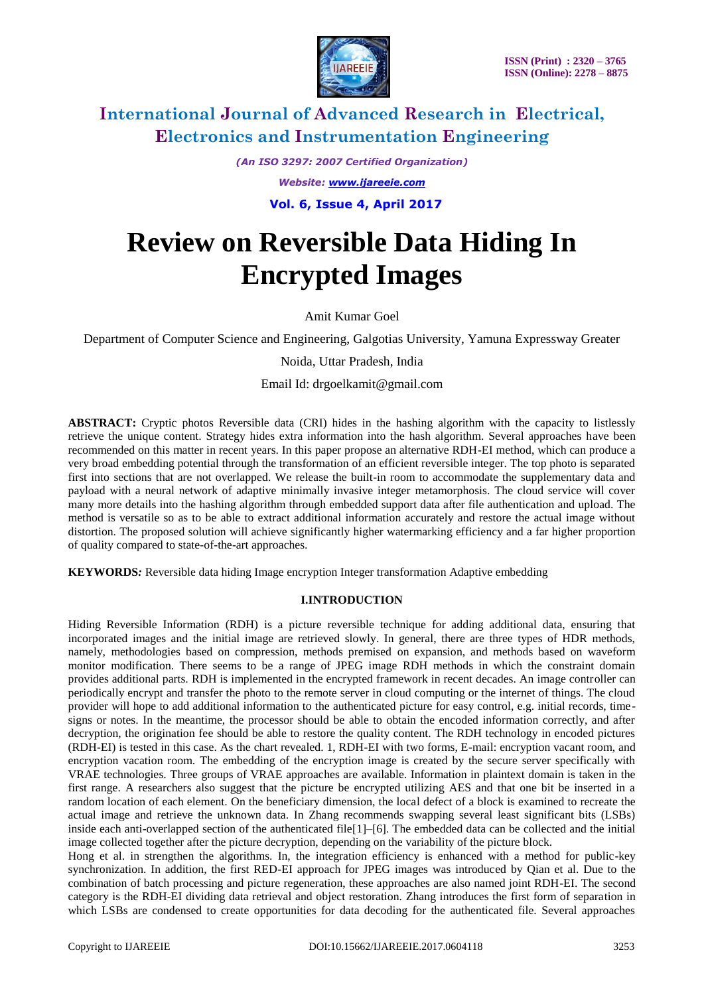

*(An ISO 3297: 2007 Certified Organization) Website: [www.ijareeie.com](http://www.ijareeie.com/)*

 **Vol. 6, Issue 4, April 2017**

# **Review on Reversible Data Hiding In Encrypted Images**

Amit Kumar Goel

Department of Computer Science and Engineering, Galgotias University, Yamuna Expressway Greater

Noida, Uttar Pradesh, India

Email Id: drgoelkamit@gmail.com

**ABSTRACT:** Cryptic photos Reversible data (CRI) hides in the hashing algorithm with the capacity to listlessly retrieve the unique content. Strategy hides extra information into the hash algorithm. Several approaches have been recommended on this matter in recent years. In this paper propose an alternative RDH-EI method, which can produce a very broad embedding potential through the transformation of an efficient reversible integer. The top photo is separated first into sections that are not overlapped. We release the built-in room to accommodate the supplementary data and payload with a neural network of adaptive minimally invasive integer metamorphosis. The cloud service will cover many more details into the hashing algorithm through embedded support data after file authentication and upload. The method is versatile so as to be able to extract additional information accurately and restore the actual image without distortion. The proposed solution will achieve significantly higher watermarking efficiency and a far higher proportion of quality compared to state-of-the-art approaches.

**KEYWORDS***:* Reversible data hiding Image encryption Integer transformation Adaptive embedding

### **I.INTRODUCTION**

Hiding Reversible Information (RDH) is a picture reversible technique for adding additional data, ensuring that incorporated images and the initial image are retrieved slowly. In general, there are three types of HDR methods, namely, methodologies based on compression, methods premised on expansion, and methods based on waveform monitor modification. There seems to be a range of JPEG image RDH methods in which the constraint domain provides additional parts. RDH is implemented in the encrypted framework in recent decades. An image controller can periodically encrypt and transfer the photo to the remote server in cloud computing or the internet of things. The cloud provider will hope to add additional information to the authenticated picture for easy control, e.g. initial records, timesigns or notes. In the meantime, the processor should be able to obtain the encoded information correctly, and after decryption, the origination fee should be able to restore the quality content. The RDH technology in encoded pictures (RDH-EI) is tested in this case. As the chart revealed. 1, RDH-EI with two forms, E-mail: encryption vacant room, and encryption vacation room. The embedding of the encryption image is created by the secure server specifically with VRAE technologies. Three groups of VRAE approaches are available. Information in plaintext domain is taken in the first range. A researchers also suggest that the picture be encrypted utilizing AES and that one bit be inserted in a random location of each element. On the beneficiary dimension, the local defect of a block is examined to recreate the actual image and retrieve the unknown data. In Zhang recommends swapping several least significant bits (LSBs) inside each anti-overlapped section of the authenticated file $[1]$ – $[6]$ . The embedded data can be collected and the initial image collected together after the picture decryption, depending on the variability of the picture block.

Hong et al. in strengthen the algorithms. In, the integration efficiency is enhanced with a method for public-key synchronization. In addition, the first RED-EI approach for JPEG images was introduced by Qian et al. Due to the combination of batch processing and picture regeneration, these approaches are also named joint RDH-EI. The second category is the RDH-EI dividing data retrieval and object restoration. Zhang introduces the first form of separation in which LSBs are condensed to create opportunities for data decoding for the authenticated file. Several approaches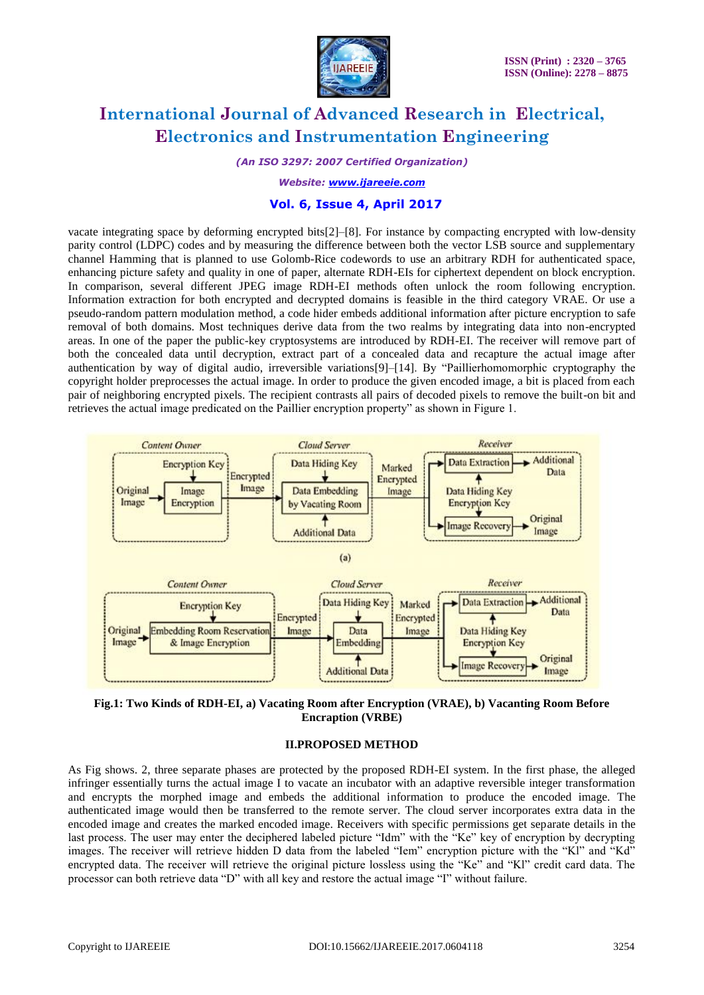

*(An ISO 3297: 2007 Certified Organization)*

*Website: [www.ijareeie.com](http://www.ijareeie.com/)*

#### **Vol. 6, Issue 4, April 2017**

vacate integrating space by deforming encrypted bits[2]–[8]. For instance by compacting encrypted with low-density parity control (LDPC) codes and by measuring the difference between both the vector LSB source and supplementary channel Hamming that is planned to use Golomb-Rice codewords to use an arbitrary RDH for authenticated space, enhancing picture safety and quality in one of paper, alternate RDH-EIs for ciphertext dependent on block encryption. In comparison, several different JPEG image RDH-EI methods often unlock the room following encryption. Information extraction for both encrypted and decrypted domains is feasible in the third category VRAE. Or use a pseudo-random pattern modulation method, a code hider embeds additional information after picture encryption to safe removal of both domains. Most techniques derive data from the two realms by integrating data into non-encrypted areas. In one of the paper the public-key cryptosystems are introduced by RDH-EI. The receiver will remove part of both the concealed data until decryption, extract part of a concealed data and recapture the actual image after authentication by way of digital audio, irreversible variations[9]–[14]. By "Paillierhomomorphic cryptography the copyright holder preprocesses the actual image. In order to produce the given encoded image, a bit is placed from each pair of neighboring encrypted pixels. The recipient contrasts all pairs of decoded pixels to remove the built-on bit and retrieves the actual image predicated on the Paillier encryption property" as shown in Figure 1.



**Fig.1: Two Kinds of RDH-EI, a) Vacating Room after Encryption (VRAE), b) Vacanting Room Before Encraption (VRBE)**

#### **II.PROPOSED METHOD**

As Fig shows. 2, three separate phases are protected by the proposed RDH-EI system. In the first phase, the alleged infringer essentially turns the actual image I to vacate an incubator with an adaptive reversible integer transformation and encrypts the morphed image and embeds the additional information to produce the encoded image. The authenticated image would then be transferred to the remote server. The cloud server incorporates extra data in the encoded image and creates the marked encoded image. Receivers with specific permissions get separate details in the last process. The user may enter the deciphered labeled picture "Idm" with the "Ke" key of encryption by decrypting images. The receiver will retrieve hidden D data from the labeled "Iem" encryption picture with the "Kl" and "Kd" encrypted data. The receiver will retrieve the original picture lossless using the "Ke" and "Kl" credit card data. The processor can both retrieve data "D" with all key and restore the actual image "I" without failure.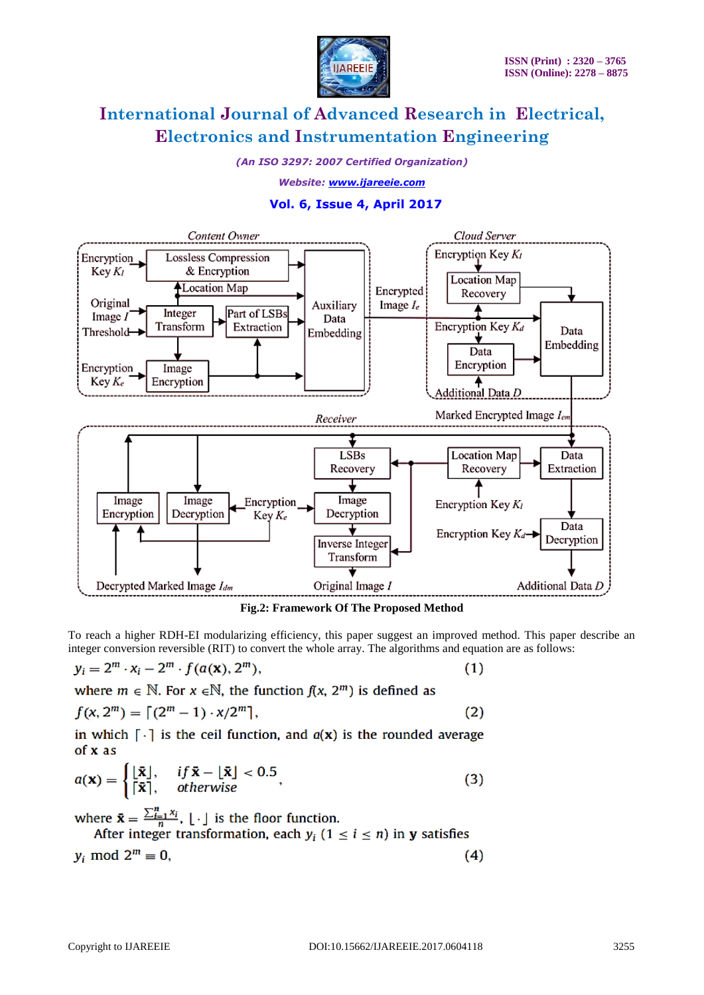

*(An ISO 3297: 2007 Certified Organization)*

*Website: [www.ijareeie.com](http://www.ijareeie.com/)*

### **Vol. 6, Issue 4, April 2017**



**Fig.2: Framework Of The Proposed Method**

To reach a higher RDH-EI modularizing efficiency, this paper suggest an improved method. This paper describe an integer conversion reversible (RIT) to convert the whole array. The algorithms and equation are as follows:

$$
y_i = 2^m \cdot x_i - 2^m \cdot f(a(\mathbf{x}), 2^m), \tag{1}
$$

where 
$$
m \in \mathbb{N}
$$
. For  $x \in \mathbb{N}$ , the function  $f(x, 2^m)$  is defined as

$$
f(x, 2^m) = \lceil (2^m - 1) \cdot x / 2^m \rceil, \tag{2}
$$

in which  $\lceil \cdot \rceil$  is the ceil function, and  $a(x)$  is the rounded average  $of x as$ 

$$
a(\mathbf{x}) = \begin{cases} \lfloor \bar{\mathbf{x}} \rfloor, & \text{if } \bar{\mathbf{x}} - \lfloor \bar{\mathbf{x}} \rfloor < 0.5 \\ \lceil \bar{\mathbf{x}} \rceil, & \text{otherwise} \end{cases} \tag{3}
$$

where  $\bar{\mathbf{x}} = \frac{\sum_{i=1}^{n} x_i}{n}$ ,  $\lfloor \cdot \rfloor$  is the floor function.<br>After integer transformation, each  $y_i$  ( $1 \le i \le n$ ) in **y** satisfies

$$
y_i \bmod 2^m \equiv 0,\tag{4}
$$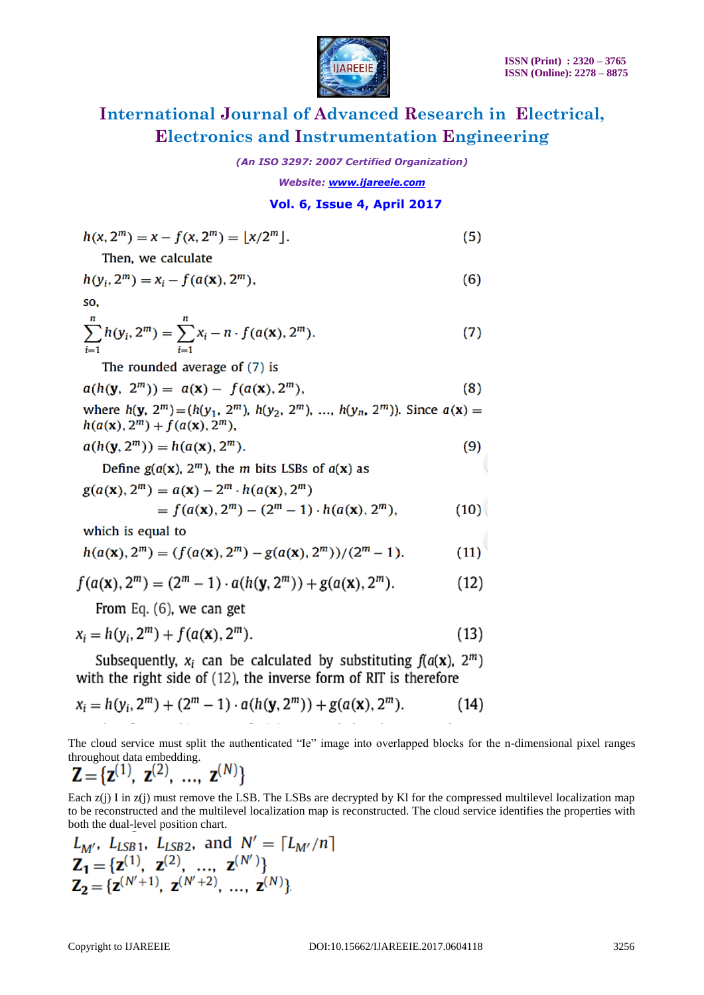

*(An ISO 3297: 2007 Certified Organization)*

*Website: [www.ijareeie.com](http://www.ijareeie.com/)*

### **Vol. 6, Issue 4, April 2017**

$$
h(x, 2^{m}) = x - f(x, 2^{m}) = [x/2^{m}].
$$
\nThen, we calculate

\n
$$
h(y_{i}, 2^{m}) = x_{i} - f(a(x), 2^{m}),
$$
\nso,

\n
$$
\sum_{i=1}^{n} h(y_{i}, 2^{m}) = \sum_{i=1}^{n} x_{i} - n \cdot f(a(x), 2^{m}).
$$
\nThe rounded average of (7) is

$$
a(h(\mathbf{y}, 2^m)) = a(\mathbf{x}) - f(a(\mathbf{x}), 2^m), \tag{8}
$$

where  $h(y, 2^m) = (h(y_1, 2^m), h(y_2, 2^m), ..., h(y_n, 2^m))$ . Since  $a(x) =$  $h(a(x), 2^m) + f(a(x), 2^m)$ ,

$$
a(h(\mathbf{y}, 2^m)) = h(a(\mathbf{x}), 2^m). \tag{9}
$$

Define  $g(a(x), 2<sup>m</sup>)$ , the *m* bits LSBs of  $a(x)$  as

$$
g(a(\mathbf{x}), 2^m) = a(\mathbf{x}) - 2^m \cdot h(a(\mathbf{x}), 2^m)
$$
  
=  $f(a(\mathbf{x}), 2^m) - (2^m - 1) \cdot h(a(\mathbf{x}), 2^m)$ , (10)

which is equal to

$$
h(a(\mathbf{x}), 2^m) = (f(a(\mathbf{x}), 2^m) - g(a(\mathbf{x}), 2^m))/(2^m - 1). \tag{11}
$$

$$
f(a(\mathbf{x}), 2^m) = (2^m - 1) \cdot a(h(\mathbf{y}, 2^m)) + g(a(\mathbf{x}), 2^m). \tag{12}
$$

From Eq.  $(6)$ , we can get

$$
x_i = h(y_i, 2^m) + f(a(\mathbf{x}), 2^m). \tag{13}
$$

Subsequently,  $x_i$  can be calculated by substituting  $f(a(x), 2^m)$ with the right side of (12), the inverse form of RIT is therefore

$$
x_i = h(y_i, 2^m) + (2^m - 1) \cdot a(h(y, 2^m)) + g(a(x), 2^m). \tag{14}
$$

The cloud service must split the authenticated "Ie" image into overlapped blocks for the n-dimensional pixel ranges throughout data embedding.

$$
\mathbf{Z} = {\mathbf{z}^{(1)}, \ \mathbf{z}^{(2)}, \ \ldots, \ \mathbf{z}^{(N)}}
$$

Each z(j) I in z(j) must remove the LSB. The LSBs are decrypted by KI for the compressed multilevel localization map to be reconstructed and the multilevel localization map is reconstructed. The cloud service identifies the properties with both the dual-level position chart.

$$
L_{M'}, L_{LSB1}, L_{LSB2}, \text{ and } N' = \lceil L_{M'}/n \rceil
$$
  
\n
$$
\mathbf{Z}_1 = \{ \mathbf{z}^{(1)}, \mathbf{z}^{(2)}, \dots, \mathbf{z}^{(N')} \}
$$
  
\n
$$
\mathbf{Z}_2 = \{ \mathbf{z}^{(N'+1)}, \mathbf{z}^{(N'+2)}, \dots, \mathbf{z}^{(N)} \}
$$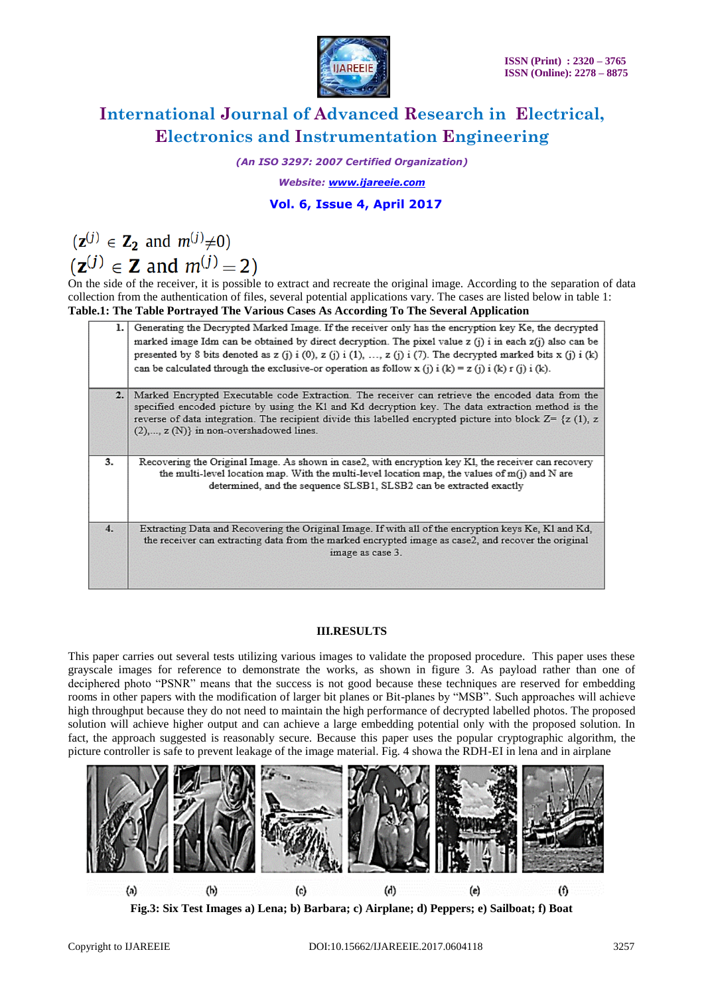

*(An ISO 3297: 2007 Certified Organization)*

*Website: [www.ijareeie.com](http://www.ijareeie.com/)*

### **Vol. 6, Issue 4, April 2017**

 $(\mathbf{z}^{(j)} \in \mathbf{Z}_2$  and  $m^{(j)} \neq 0$  $(z^{(j)} \in Z$  and  $m^{(j)} = 2)$ 

On the side of the receiver, it is possible to extract and recreate the original image. According to the separation of data collection from the authentication of files, several potential applications vary. The cases are listed below in table 1: **Table.1: The Table Portrayed The Various Cases As According To The Several Application**

| ı.  | Generating the Decrypted Marked Image. If the receiver only has the encryption key Ke, the decrypted<br>marked image Idm can be obtained by direct decryption. The pixel value z (j) i in each z(j) also can be<br>presented by 8 bits denoted as z (j) i (0), z (j) i (1), , z (j) i (7). The decrypted marked bits x (j) i (k)<br>can be calculated through the exclusive-or operation as follow x (j) i (k) = z (j) i (k) r (j) i (k). |
|-----|-------------------------------------------------------------------------------------------------------------------------------------------------------------------------------------------------------------------------------------------------------------------------------------------------------------------------------------------------------------------------------------------------------------------------------------------|
| 2.1 | Marked Encrypted Executable code Extraction. The receiver can retrieve the encoded data from the<br>specified encoded picture by using the K1 and Kd decryption key. The data extraction method is the<br>reverse of data integration. The recipient divide this labelled encrypted picture into block $Z = \{z(1), z$<br>$(2),, z(N)$ in non-overshadowed lines.                                                                         |
| 3.  | Recovering the Original Image. As shown in case2, with encryption key K1, the receiver can recovery<br>the multi-level location map. With the multi-level location map, the values of $m(j)$ and N are<br>determined, and the sequence SLSB1, SLSB2 can be extracted exactly                                                                                                                                                              |
| 4.  | Extracting Data and Recovering the Original Image. If with all of the encryption keys Ke, Kl and Kd,<br>the receiver can extracting data from the marked encrypted image as case2, and recover the original<br>image as case 3.                                                                                                                                                                                                           |

#### **III.RESULTS**

This paper carries out several tests utilizing various images to validate the proposed procedure. This paper uses these grayscale images for reference to demonstrate the works, as shown in figure 3. As payload rather than one of deciphered photo "PSNR" means that the success is not good because these techniques are reserved for embedding rooms in other papers with the modification of larger bit planes or Bit-planes by "MSB". Such approaches will achieve high throughput because they do not need to maintain the high performance of decrypted labelled photos. The proposed solution will achieve higher output and can achieve a large embedding potential only with the proposed solution. In fact, the approach suggested is reasonably secure. Because this paper uses the popular cryptographic algorithm, the picture controller is safe to prevent leakage of the image material. Fig. 4 showa the RDH-EI in lena and in airplane



**Fig.3: Six Test Images a) Lena; b) Barbara; c) Airplane; d) Peppers; e) Sailboat; f) Boat**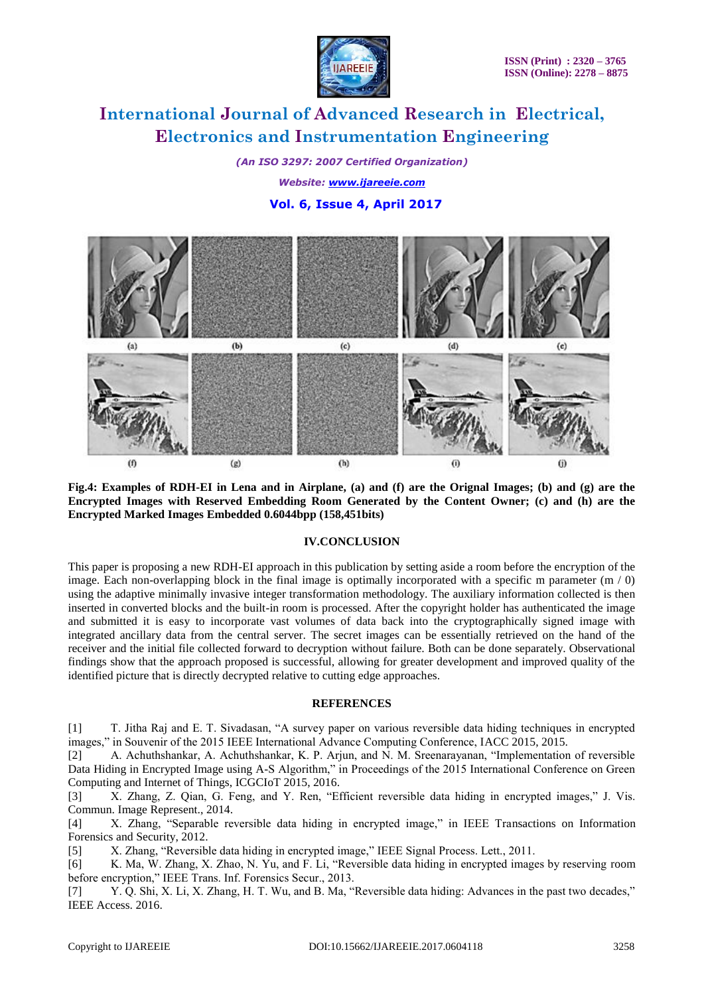

*(An ISO 3297: 2007 Certified Organization) Website: [www.ijareeie.com](http://www.ijareeie.com/)*  **Vol. 6, Issue 4, April 2017**



**Fig.4: Examples of RDH-EI in Lena and in Airplane, (a) and (f) are the Orignal Images; (b) and (g) are the Encrypted Images with Reserved Embedding Room Generated by the Content Owner; (c) and (h) are the Encrypted Marked Images Embedded 0.6044bpp (158,451bits)**

#### **IV.CONCLUSION**

This paper is proposing a new RDH-EI approach in this publication by setting aside a room before the encryption of the image. Each non-overlapping block in the final image is optimally incorporated with a specific m parameter  $(m / 0)$ using the adaptive minimally invasive integer transformation methodology. The auxiliary information collected is then inserted in converted blocks and the built-in room is processed. After the copyright holder has authenticated the image and submitted it is easy to incorporate vast volumes of data back into the cryptographically signed image with integrated ancillary data from the central server. The secret images can be essentially retrieved on the hand of the receiver and the initial file collected forward to decryption without failure. Both can be done separately. Observational findings show that the approach proposed is successful, allowing for greater development and improved quality of the identified picture that is directly decrypted relative to cutting edge approaches.

#### **REFERENCES**

[1] T. Jitha Raj and E. T. Sivadasan, "A survey paper on various reversible data hiding techniques in encrypted images," in Souvenir of the 2015 IEEE International Advance Computing Conference, IACC 2015, 2015.

[2] A. Achuthshankar, A. Achuthshankar, K. P. Arjun, and N. M. Sreenarayanan, "Implementation of reversible Data Hiding in Encrypted Image using A-S Algorithm," in Proceedings of the 2015 International Conference on Green Computing and Internet of Things, ICGCIoT 2015, 2016.

[3] X. Zhang, Z. Qian, G. Feng, and Y. Ren, "Efficient reversible data hiding in encrypted images," J. Vis. Commun. Image Represent., 2014.

[4] X. Zhang, "Separable reversible data hiding in encrypted image," in IEEE Transactions on Information Forensics and Security, 2012.

[5] X. Zhang, "Reversible data hiding in encrypted image," IEEE Signal Process. Lett., 2011.

[6] K. Ma, W. Zhang, X. Zhao, N. Yu, and F. Li, "Reversible data hiding in encrypted images by reserving room before encryption," IEEE Trans. Inf. Forensics Secur., 2013.

[7] Y. Q. Shi, X. Li, X. Zhang, H. T. Wu, and B. Ma, "Reversible data hiding: Advances in the past two decades," IEEE Access. 2016.